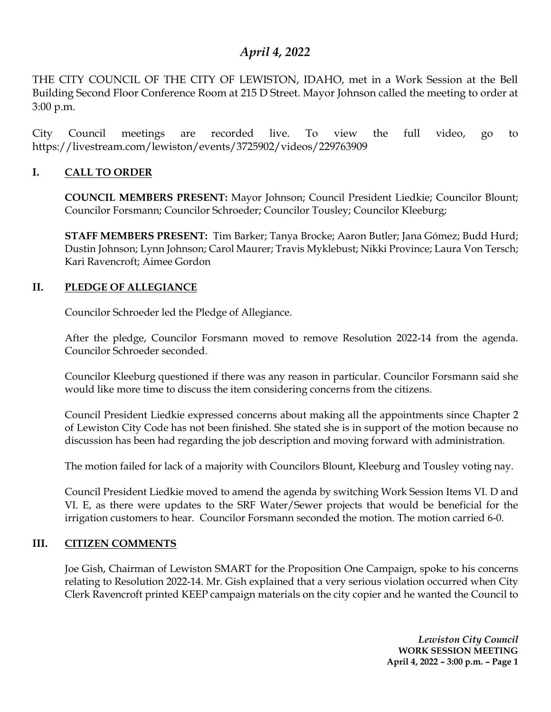# *April 4, 2022*

THE CITY COUNCIL OF THE CITY OF LEWISTON, IDAHO, met in a Work Session at the Bell Building Second Floor Conference Room at 215 D Street. Mayor Johnson called the meeting to order at 3:00 p.m.

City Council meetings are recorded live. To view the full video, go to https://livestream.com/lewiston/events/3725902/videos/229763909

### **I. CALL TO ORDER**

**COUNCIL MEMBERS PRESENT:** Mayor Johnson; Council President Liedkie; Councilor Blount; Councilor Forsmann; Councilor Schroeder; Councilor Tousley; Councilor Kleeburg;

**STAFF MEMBERS PRESENT:** Tim Barker; Tanya Brocke; Aaron Butler; Jana Gómez; Budd Hurd; Dustin Johnson; Lynn Johnson; Carol Maurer; Travis Myklebust; Nikki Province; Laura Von Tersch; Kari Ravencroft; Aimee Gordon

### **II. PLEDGE OF ALLEGIANCE**

Councilor Schroeder led the Pledge of Allegiance.

After the pledge, Councilor Forsmann moved to remove Resolution 2022-14 from the agenda. Councilor Schroeder seconded.

Councilor Kleeburg questioned if there was any reason in particular. Councilor Forsmann said she would like more time to discuss the item considering concerns from the citizens.

Council President Liedkie expressed concerns about making all the appointments since Chapter 2 of Lewiston City Code has not been finished. She stated she is in support of the motion because no discussion has been had regarding the job description and moving forward with administration.

The motion failed for lack of a majority with Councilors Blount, Kleeburg and Tousley voting nay.

Council President Liedkie moved to amend the agenda by switching Work Session Items VI. D and VI. E, as there were updates to the SRF Water/Sewer projects that would be beneficial for the irrigation customers to hear. Councilor Forsmann seconded the motion. The motion carried 6-0.

#### **III. CITIZEN COMMENTS**

Joe Gish, Chairman of Lewiston SMART for the Proposition One Campaign, spoke to his concerns relating to Resolution 2022-14. Mr. Gish explained that a very serious violation occurred when City Clerk Ravencroft printed KEEP campaign materials on the city copier and he wanted the Council to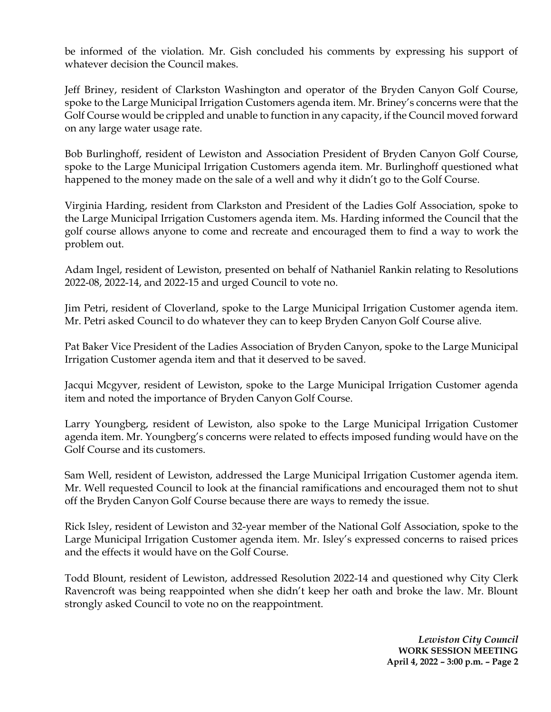be informed of the violation. Mr. Gish concluded his comments by expressing his support of whatever decision the Council makes.

Jeff Briney, resident of Clarkston Washington and operator of the Bryden Canyon Golf Course, spoke to the Large Municipal Irrigation Customers agenda item. Mr. Briney's concerns were that the Golf Course would be crippled and unable to function in any capacity, if the Council moved forward on any large water usage rate.

Bob Burlinghoff, resident of Lewiston and Association President of Bryden Canyon Golf Course, spoke to the Large Municipal Irrigation Customers agenda item. Mr. Burlinghoff questioned what happened to the money made on the sale of a well and why it didn't go to the Golf Course.

Virginia Harding, resident from Clarkston and President of the Ladies Golf Association, spoke to the Large Municipal Irrigation Customers agenda item. Ms. Harding informed the Council that the golf course allows anyone to come and recreate and encouraged them to find a way to work the problem out.

Adam Ingel, resident of Lewiston, presented on behalf of Nathaniel Rankin relating to Resolutions 2022-08, 2022-14, and 2022-15 and urged Council to vote no.

Jim Petri, resident of Cloverland, spoke to the Large Municipal Irrigation Customer agenda item. Mr. Petri asked Council to do whatever they can to keep Bryden Canyon Golf Course alive.

Pat Baker Vice President of the Ladies Association of Bryden Canyon, spoke to the Large Municipal Irrigation Customer agenda item and that it deserved to be saved.

Jacqui Mcgyver, resident of Lewiston, spoke to the Large Municipal Irrigation Customer agenda item and noted the importance of Bryden Canyon Golf Course.

Larry Youngberg, resident of Lewiston, also spoke to the Large Municipal Irrigation Customer agenda item. Mr. Youngberg's concerns were related to effects imposed funding would have on the Golf Course and its customers.

Sam Well, resident of Lewiston, addressed the Large Municipal Irrigation Customer agenda item. Mr. Well requested Council to look at the financial ramifications and encouraged them not to shut off the Bryden Canyon Golf Course because there are ways to remedy the issue.

Rick Isley, resident of Lewiston and 32-year member of the National Golf Association, spoke to the Large Municipal Irrigation Customer agenda item. Mr. Isley's expressed concerns to raised prices and the effects it would have on the Golf Course.

Todd Blount, resident of Lewiston, addressed Resolution 2022-14 and questioned why City Clerk Ravencroft was being reappointed when she didn't keep her oath and broke the law. Mr. Blount strongly asked Council to vote no on the reappointment.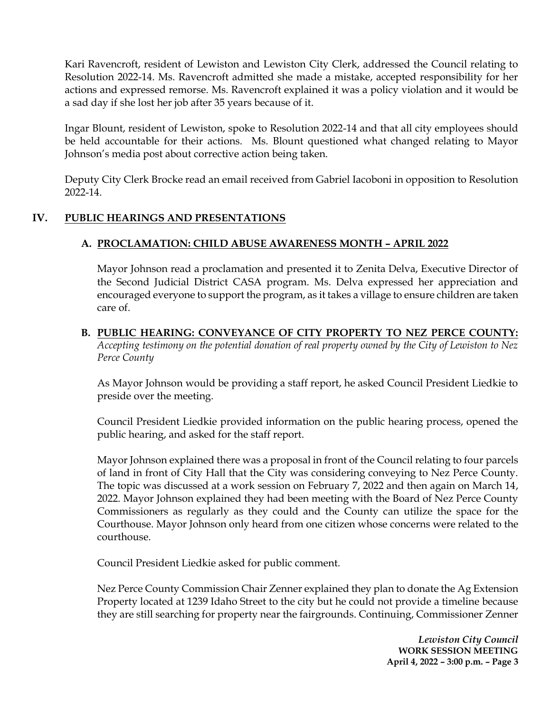Kari Ravencroft, resident of Lewiston and Lewiston City Clerk, addressed the Council relating to Resolution 2022-14. Ms. Ravencroft admitted she made a mistake, accepted responsibility for her actions and expressed remorse. Ms. Ravencroft explained it was a policy violation and it would be a sad day if she lost her job after 35 years because of it.

Ingar Blount, resident of Lewiston, spoke to Resolution 2022-14 and that all city employees should be held accountable for their actions. Ms. Blount questioned what changed relating to Mayor Johnson's media post about corrective action being taken.

Deputy City Clerk Brocke read an email received from Gabriel Iacoboni in opposition to Resolution 2022-14.

## **IV. PUBLIC HEARINGS AND PRESENTATIONS**

### **A. PROCLAMATION: CHILD ABUSE AWARENESS MONTH – APRIL 2022**

Mayor Johnson read a proclamation and presented it to Zenita Delva, Executive Director of the Second Judicial District CASA program. Ms. Delva expressed her appreciation and encouraged everyone to support the program, as it takes a village to ensure children are taken care of.

#### **B. PUBLIC HEARING: CONVEYANCE OF CITY PROPERTY TO NEZ PERCE COUNTY:**  *Accepting testimony on the potential donation of real property owned by the City of Lewiston to Nez Perce County*

As Mayor Johnson would be providing a staff report, he asked Council President Liedkie to preside over the meeting.

Council President Liedkie provided information on the public hearing process, opened the public hearing, and asked for the staff report.

Mayor Johnson explained there was a proposal in front of the Council relating to four parcels of land in front of City Hall that the City was considering conveying to Nez Perce County. The topic was discussed at a work session on February 7, 2022 and then again on March 14, 2022. Mayor Johnson explained they had been meeting with the Board of Nez Perce County Commissioners as regularly as they could and the County can utilize the space for the Courthouse. Mayor Johnson only heard from one citizen whose concerns were related to the courthouse.

Council President Liedkie asked for public comment.

Nez Perce County Commission Chair Zenner explained they plan to donate the Ag Extension Property located at 1239 Idaho Street to the city but he could not provide a timeline because they are still searching for property near the fairgrounds. Continuing, Commissioner Zenner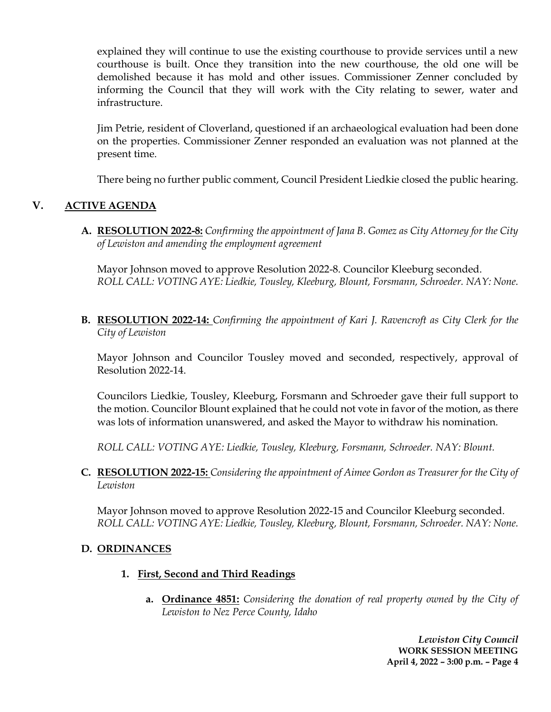explained they will continue to use the existing courthouse to provide services until a new courthouse is built. Once they transition into the new courthouse, the old one will be demolished because it has mold and other issues. Commissioner Zenner concluded by informing the Council that they will work with the City relating to sewer, water and infrastructure.

Jim Petrie, resident of Cloverland, questioned if an archaeological evaluation had been done on the properties. Commissioner Zenner responded an evaluation was not planned at the present time.

There being no further public comment, Council President Liedkie closed the public hearing.

# **V. ACTIVE AGENDA**

**A. RESOLUTION 2022-8:** *Confirming the appointment of Jana B. Gomez as City Attorney for the City of Lewiston and amending the employment agreement*

Mayor Johnson moved to approve Resolution 2022-8. Councilor Kleeburg seconded. *ROLL CALL: VOTING AYE: Liedkie, Tousley, Kleeburg, Blount, Forsmann, Schroeder. NAY: None.*

**B. RESOLUTION 2022-14:** *Confirming the appointment of Kari J. Ravencroft as City Clerk for the City of Lewiston*

Mayor Johnson and Councilor Tousley moved and seconded, respectively, approval of Resolution 2022-14.

Councilors Liedkie, Tousley, Kleeburg, Forsmann and Schroeder gave their full support to the motion. Councilor Blount explained that he could not vote in favor of the motion, as there was lots of information unanswered, and asked the Mayor to withdraw his nomination.

*ROLL CALL: VOTING AYE: Liedkie, Tousley, Kleeburg, Forsmann, Schroeder. NAY: Blount.*

**C. RESOLUTION 2022-15:** *Considering the appointment of Aimee Gordon as Treasurer for the City of Lewiston*

Mayor Johnson moved to approve Resolution 2022-15 and Councilor Kleeburg seconded. *ROLL CALL: VOTING AYE: Liedkie, Tousley, Kleeburg, Blount, Forsmann, Schroeder. NAY: None.*

## **D. ORDINANCES**

- **1. First, Second and Third Readings**
	- **a. Ordinance 4851:** *Considering the donation of real property owned by the City of Lewiston to Nez Perce County, Idaho*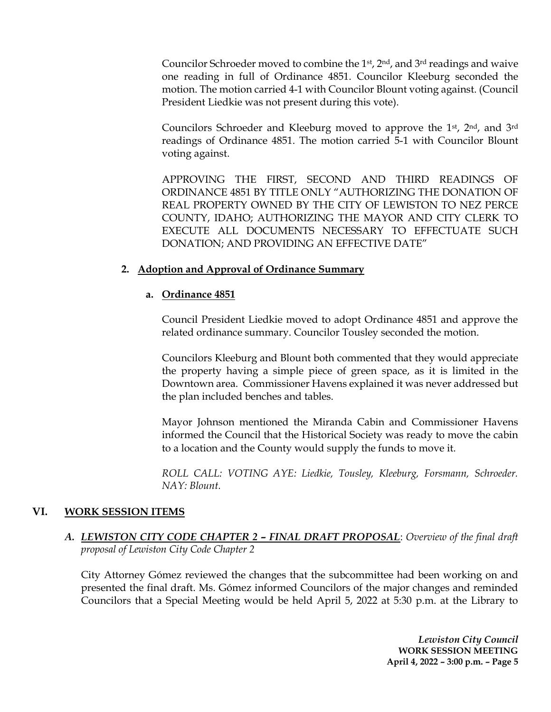Councilor Schroeder moved to combine the 1st, 2nd, and 3rd readings and waive one reading in full of Ordinance 4851. Councilor Kleeburg seconded the motion. The motion carried 4-1 with Councilor Blount voting against. (Council President Liedkie was not present during this vote).

Councilors Schroeder and Kleeburg moved to approve the 1st, 2nd, and 3rd readings of Ordinance 4851. The motion carried 5-1 with Councilor Blount voting against.

APPROVING THE FIRST, SECOND AND THIRD READINGS OF ORDINANCE 4851 BY TITLE ONLY "AUTHORIZING THE DONATION OF REAL PROPERTY OWNED BY THE CITY OF LEWISTON TO NEZ PERCE COUNTY, IDAHO; AUTHORIZING THE MAYOR AND CITY CLERK TO EXECUTE ALL DOCUMENTS NECESSARY TO EFFECTUATE SUCH DONATION; AND PROVIDING AN EFFECTIVE DATE"

#### **2. Adoption and Approval of Ordinance Summary**

#### **a. Ordinance 4851**

Council President Liedkie moved to adopt Ordinance 4851 and approve the related ordinance summary. Councilor Tousley seconded the motion.

Councilors Kleeburg and Blount both commented that they would appreciate the property having a simple piece of green space, as it is limited in the Downtown area. Commissioner Havens explained it was never addressed but the plan included benches and tables.

Mayor Johnson mentioned the Miranda Cabin and Commissioner Havens informed the Council that the Historical Society was ready to move the cabin to a location and the County would supply the funds to move it.

*ROLL CALL: VOTING AYE: Liedkie, Tousley, Kleeburg, Forsmann, Schroeder. NAY: Blount.*

#### **VI. WORK SESSION ITEMS**

### *A. LEWISTON CITY CODE CHAPTER 2 – FINAL DRAFT PROPOSAL*: *Overview of the final draft proposal of Lewiston City Code Chapter 2*

City Attorney Gómez reviewed the changes that the subcommittee had been working on and presented the final draft. Ms. Gómez informed Councilors of the major changes and reminded Councilors that a Special Meeting would be held April 5, 2022 at 5:30 p.m. at the Library to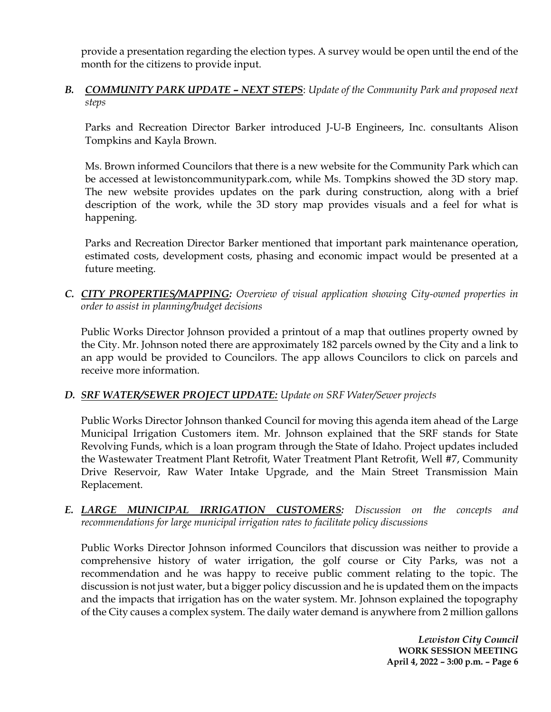provide a presentation regarding the election types. A survey would be open until the end of the month for the citizens to provide input.

*B. COMMUNITY PARK UPDATE – NEXT STEPS*: *Update of the Community Park and proposed next steps*

Parks and Recreation Director Barker introduced J-U-B Engineers, Inc. consultants Alison Tompkins and Kayla Brown.

Ms. Brown informed Councilors that there is a new website for the Community Park which can be accessed at lewistoncommunitypark.com, while Ms. Tompkins showed the 3D story map. The new website provides updates on the park during construction, along with a brief description of the work, while the 3D story map provides visuals and a feel for what is happening.

Parks and Recreation Director Barker mentioned that important park maintenance operation, estimated costs, development costs, phasing and economic impact would be presented at a future meeting.

*C. CITY PROPERTIES/MAPPING: Overview of visual application showing City-owned properties in order to assist in planning/budget decisions*

Public Works Director Johnson provided a printout of a map that outlines property owned by the City. Mr. Johnson noted there are approximately 182 parcels owned by the City and a link to an app would be provided to Councilors. The app allows Councilors to click on parcels and receive more information.

#### *D. SRF WATER/SEWER PROJECT UPDATE: Update on SRF Water/Sewer projects*

Public Works Director Johnson thanked Council for moving this agenda item ahead of the Large Municipal Irrigation Customers item. Mr. Johnson explained that the SRF stands for State Revolving Funds, which is a loan program through the State of Idaho. Project updates included the Wastewater Treatment Plant Retrofit, Water Treatment Plant Retrofit, Well #7, Community Drive Reservoir, Raw Water Intake Upgrade, and the Main Street Transmission Main Replacement.

*E. LARGE MUNICIPAL IRRIGATION CUSTOMERS: Discussion on the concepts and recommendations for large municipal irrigation rates to facilitate policy discussions*

Public Works Director Johnson informed Councilors that discussion was neither to provide a comprehensive history of water irrigation, the golf course or City Parks, was not a recommendation and he was happy to receive public comment relating to the topic. The discussion is not just water, but a bigger policy discussion and he is updated them on the impacts and the impacts that irrigation has on the water system. Mr. Johnson explained the topography of the City causes a complex system. The daily water demand is anywhere from 2 million gallons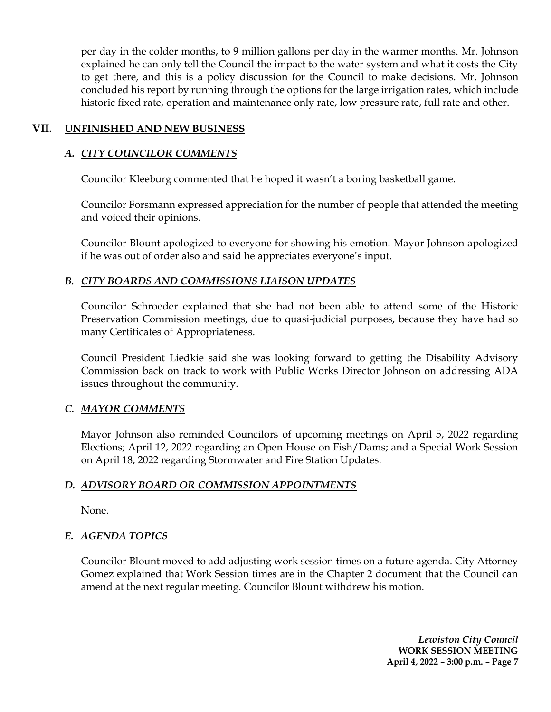per day in the colder months, to 9 million gallons per day in the warmer months. Mr. Johnson explained he can only tell the Council the impact to the water system and what it costs the City to get there, and this is a policy discussion for the Council to make decisions. Mr. Johnson concluded his report by running through the options for the large irrigation rates, which include historic fixed rate, operation and maintenance only rate, low pressure rate, full rate and other.

### **VII. UNFINISHED AND NEW BUSINESS**

### *A. CITY COUNCILOR COMMENTS*

Councilor Kleeburg commented that he hoped it wasn't a boring basketball game.

Councilor Forsmann expressed appreciation for the number of people that attended the meeting and voiced their opinions.

Councilor Blount apologized to everyone for showing his emotion. Mayor Johnson apologized if he was out of order also and said he appreciates everyone's input.

### *B. CITY BOARDS AND COMMISSIONS LIAISON UPDATES*

Councilor Schroeder explained that she had not been able to attend some of the Historic Preservation Commission meetings, due to quasi-judicial purposes, because they have had so many Certificates of Appropriateness.

Council President Liedkie said she was looking forward to getting the Disability Advisory Commission back on track to work with Public Works Director Johnson on addressing ADA issues throughout the community.

## *C. MAYOR COMMENTS*

Mayor Johnson also reminded Councilors of upcoming meetings on April 5, 2022 regarding Elections; April 12, 2022 regarding an Open House on Fish/Dams; and a Special Work Session on April 18, 2022 regarding Stormwater and Fire Station Updates.

## *D. ADVISORY BOARD OR COMMISSION APPOINTMENTS*

None.

## *E. AGENDA TOPICS*

Councilor Blount moved to add adjusting work session times on a future agenda. City Attorney Gomez explained that Work Session times are in the Chapter 2 document that the Council can amend at the next regular meeting. Councilor Blount withdrew his motion.